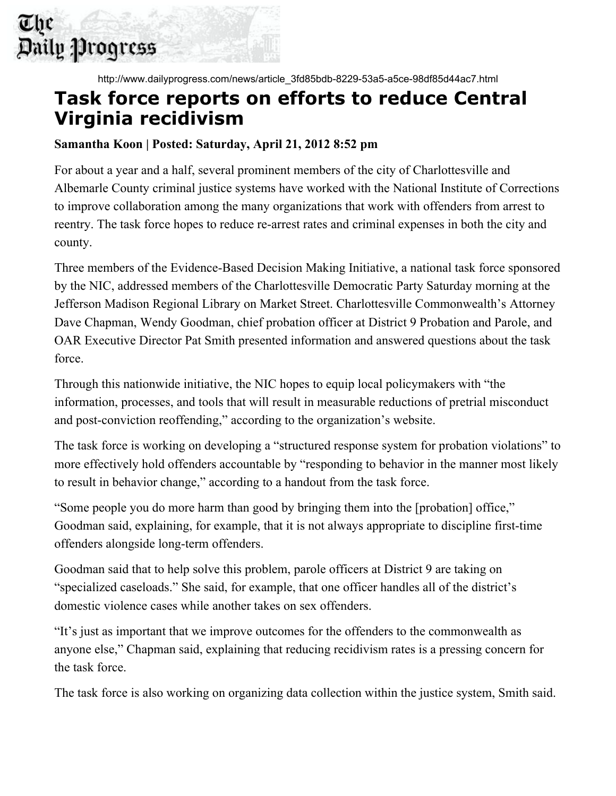

http://www.dailyprogress.com/news/article\_3fd85bdb-8229-53a5-a5ce-98df85d44ac7.html

## **Task force reports on efforts to reduce Central Virginia recidivism**

## **Samantha Koon | Posted: Saturday, April 21, 2012 8:52 pm**

For about a year and a half, several prominent members of the city of Charlottesville and Albemarle County criminal justice systems have worked with the National Institute of Corrections to improve collaboration among the many organizations that work with offenders from arrest to reentry. The task force hopes to reduce re-arrest rates and criminal expenses in both the city and county.

Three members of the Evidence-Based Decision Making Initiative, a national task force sponsored by the NIC, addressed members of the Charlottesville Democratic Party Saturday morning at the Jefferson Madison Regional Library on Market Street. Charlottesville Commonwealth's Attorney Dave Chapman, Wendy Goodman, chief probation officer at District 9 Probation and Parole, and OAR Executive Director Pat Smith presented information and answered questions about the task force.

Through this nationwide initiative, the NIC hopes to equip local policymakers with "the information, processes, and tools that will result in measurable reductions of pretrial misconduct and post-conviction reoffending," according to the organization's website.

The task force is working on developing a "structured response system for probation violations" to more effectively hold offenders accountable by "responding to behavior in the manner most likely to result in behavior change," according to a handout from the task force.

"Some people you do more harm than good by bringing them into the [probation] office," Goodman said, explaining, for example, that it is not always appropriate to discipline first-time offenders alongside long-term offenders.

Goodman said that to help solve this problem, parole officers at District 9 are taking on "specialized caseloads." She said, for example, that one officer handles all of the district's domestic violence cases while another takes on sex offenders.

"It's just as important that we improve outcomes for the offenders to the commonwealth as anyone else," Chapman said, explaining that reducing recidivism rates is a pressing concern for the task force.

The task force is also working on organizing data collection within the justice system, Smith said.